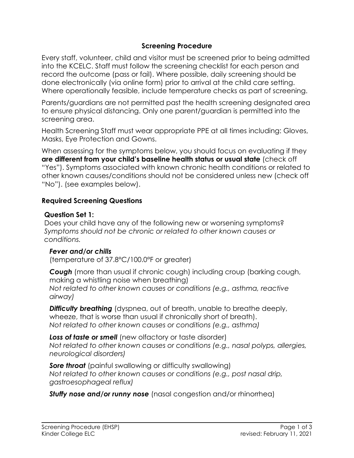### **Screening Procedure**

Every staff, volunteer, child and visitor must be screened prior to being admitted into the KCELC. Staff must follow the screening checklist for each person and record the outcome (pass or fail). Where possible, daily screening should be done electronically (via online form) prior to arrival at the child care setting. Where operationally feasible, include temperature checks as part of screening.

Parents/guardians are not permitted past the health screening designated area to ensure physical distancing. Only one parent/guardian is permitted into the screening area.

Health Screening Staff must wear appropriate PPE at all times including: Gloves, Masks, Eye Protection and Gowns.

When assessing for the symptoms below, you should focus on evaluating if they **are different from your child's baseline health status or usual state** (check off "Yes"). Symptoms associated with known chronic health conditions or related to other known causes/conditions should not be considered unless new (check off "No"). (see examples below).

#### **Required Screening Questions**

#### **Question Set 1:**

Does your child have any of the following new or worsening symptoms? *Symptoms should not be chronic or related to other known causes or conditions.*

## *Fever and/or chills*

(temperature of 37.8°C/100.0°F or greater)

*Cough* (more than usual if chronic cough) including croup (barking cough, making a whistling noise when breathing) *Not related to other known causes or conditions (e.g., asthma, reactive airway)*

*Difficulty breathing* (dyspnea, out of breath, unable to breathe deeply, wheeze, that is worse than usual if chronically short of breath). *Not related to other known causes or conditions (e.g., asthma)*

Loss of taste or smell (new olfactory or taste disorder) *Not related to other known causes or conditions (e.g., nasal polyps, allergies, neurological disorders)*

**Sore throat** (painful swallowing or difficulty swallowing) *Not related to other known causes or conditions (e.g., post nasal drip, gastroesophageal reflux)*

*Stuffy nose and/or runny nose* (nasal congestion and/or rhinorrhea)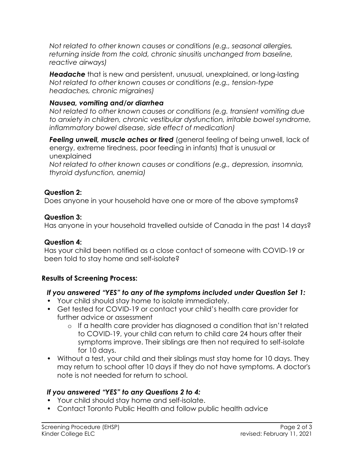*Not related to other known causes or conditions (e.g., seasonal allergies, returning inside from the cold, chronic sinusitis unchanged from baseline, reactive airways)*

*Headache* that is new and persistent, unusual, unexplained, or long-lasting *Not related to other known causes or conditions (e.g., tension-type headaches, chronic migraines)*

### *Nausea, vomiting and/or diarrhea*

*Not related to other known causes or conditions (e.g. transient vomiting due to anxiety in children, chronic vestibular dysfunction, irritable bowel syndrome, inflammatory bowel disease, side effect of medication)*

*Feeling unwell, muscle aches or tired* (general feeling of being unwell, lack of energy, extreme tiredness, poor feeding in infants) that is unusual or unexplained

*Not related to other known causes or conditions (e.g., depression, insomnia, thyroid dysfunction, anemia)*

### **Question 2:**

Does anyone in your household have one or more of the above symptoms?

### **Question 3:**

Has anyone in your household travelled outside of Canada in the past 14 days?

#### **Question 4:**

Has your child been notified as a close contact of someone with COVID-19 or been told to stay home and self-isolate?

## **Results of Screening Process:**

## *If you answered "YES" to any of the symptoms included under Question Set 1:*

- Your child should stay home to isolate immediately.
- Get tested for COVID-19 or contact your child's health care provider for further advice or assessment
	- o If a health care provider has diagnosed a condition that isn't related to COVID-19, your child can return to child care 24 hours after their symptoms improve. Their siblings are then not required to self-isolate for 10 days.
- Without a test, your child and their siblings must stay home for 10 days. They may return to school after 10 days if they do not have symptoms. A doctor's note is not needed for return to school.

## *If you answered "YES" to any Questions 2 to 4:*

- Your child should stay home and self-isolate.
- Contact Toronto Public Health and follow public health advice